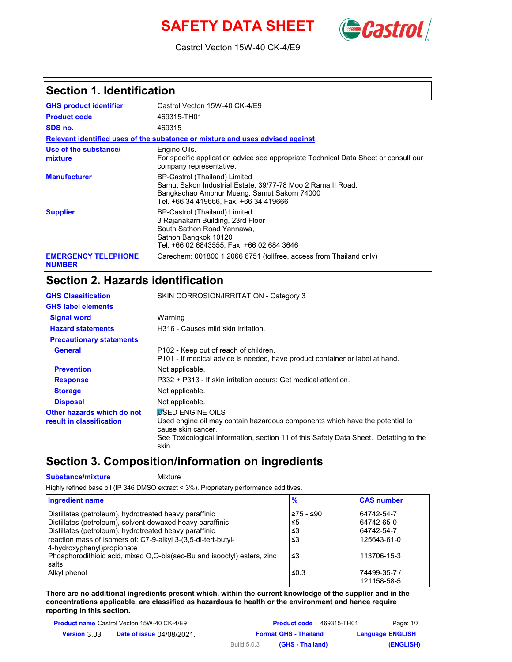# **SAFETY DATA SHEET** *Castro*



Castrol Vecton 15W-40 CK-4/E9

### **Section 1. Identification**

| <b>GHS product identifier</b>               | Castrol Vecton 15W-40 CK-4/E9                                                                                                                                                         |
|---------------------------------------------|---------------------------------------------------------------------------------------------------------------------------------------------------------------------------------------|
| <b>Product code</b>                         | 469315-TH01                                                                                                                                                                           |
| SDS no.                                     | 469315                                                                                                                                                                                |
|                                             | Relevant identified uses of the substance or mixture and uses advised against                                                                                                         |
| Use of the substance/<br>mixture            | Engine Oils.<br>For specific application advice see appropriate Technical Data Sheet or consult our<br>company representative.                                                        |
| <b>Manufacturer</b>                         | BP-Castrol (Thailand) Limited<br>Samut Sakon Industrial Estate, 39/77-78 Moo 2 Rama II Road,<br>Bangkachao Amphur Muang, Samut Sakorn 74000<br>Tel. +66 34 419666, Fax. +66 34 419666 |
| <b>Supplier</b>                             | BP-Castrol (Thailand) Limited<br>3 Rajanakarn Building, 23rd Floor<br>South Sathon Road Yannawa,<br>Sathon Bangkok 10120<br>Tel. +66 02 6843555, Fax. +66 02 684 3646                 |
| <b>EMERGENCY TELEPHONE</b><br><b>NUMBER</b> | Carechem: 001800 1 2066 6751 (tollfree, access from Thailand only)                                                                                                                    |

# **Section 2. Hazards identification**

| <b>GHS Classification</b>                              | SKIN CORROSION/IRRITATION - Category 3                                                                                                                                                                                          |
|--------------------------------------------------------|---------------------------------------------------------------------------------------------------------------------------------------------------------------------------------------------------------------------------------|
| <b>GHS label elements</b>                              |                                                                                                                                                                                                                                 |
| <b>Signal word</b>                                     | Warning                                                                                                                                                                                                                         |
| <b>Hazard statements</b>                               | H316 - Causes mild skin irritation.                                                                                                                                                                                             |
| <b>Precautionary statements</b>                        |                                                                                                                                                                                                                                 |
| <b>General</b>                                         | P102 - Keep out of reach of children.<br>P101 - If medical advice is needed, have product container or label at hand.                                                                                                           |
| <b>Prevention</b>                                      | Not applicable.                                                                                                                                                                                                                 |
| <b>Response</b>                                        | P332 + P313 - If skin irritation occurs: Get medical attention.                                                                                                                                                                 |
| <b>Storage</b>                                         | Not applicable.                                                                                                                                                                                                                 |
| <b>Disposal</b>                                        | Not applicable.                                                                                                                                                                                                                 |
| Other hazards which do not<br>result in classification | <b>VSED ENGINE OILS</b><br>Used engine oil may contain hazardous components which have the potential to<br>cause skin cancer.<br>See Toxicological Information, section 11 of this Safety Data Sheet. Defatting to the<br>skin. |

### **Section 3. Composition/information on ingredients**

**Substance/mixture Mixture** 

Highly refined base oil (IP 346 DMSO extract < 3%). Proprietary performance additives.

| <b>Ingredient name</b>                                                                                                                                                                                                                                                        | $\frac{9}{6}$                  | <b>CAS number</b>                                     |
|-------------------------------------------------------------------------------------------------------------------------------------------------------------------------------------------------------------------------------------------------------------------------------|--------------------------------|-------------------------------------------------------|
| Distillates (petroleum), hydrotreated heavy paraffinic<br>Distillates (petroleum), solvent-dewaxed heavy paraffinic<br>Distillates (petroleum), hydrotreated heavy paraffinic<br>reaction mass of isomers of: C7-9-alkyl 3-(3,5-di-tert-butyl-<br>4-hydroxyphenyl) propionate | ≥75 - ≤90<br>≤5<br>ו≥≥<br>ו≥ ≤ | 64742-54-7<br>64742-65-0<br>64742-54-7<br>125643-61-0 |
| Phosphorodithioic acid, mixed O,O-bis(sec-Bu and isooctyl) esters, zinc<br>salts<br>Alkyl phenol                                                                                                                                                                              | ≤3<br>≤0.3                     | 113706-15-3<br>74499-35-7 /                           |
|                                                                                                                                                                                                                                                                               |                                | 121158-58-5                                           |

**There are no additional ingredients present which, within the current knowledge of the supplier and in the concentrations applicable, are classified as hazardous to health or the environment and hence require reporting in this section.**

| <b>Product name Castrol Vecton 15W-40 CK-4/E9</b> |                                  |                    | <b>Product code</b><br>469315-TH01 | Page: 1/7               |
|---------------------------------------------------|----------------------------------|--------------------|------------------------------------|-------------------------|
| <b>Version 3.03</b>                               | <b>Date of issue 04/08/2021.</b> |                    | <b>Format GHS - Thailand</b>       | <b>Language ENGLISH</b> |
|                                                   |                                  | <b>Build 5.0.3</b> | (GHS - Thailand)                   | (ENGLISH)               |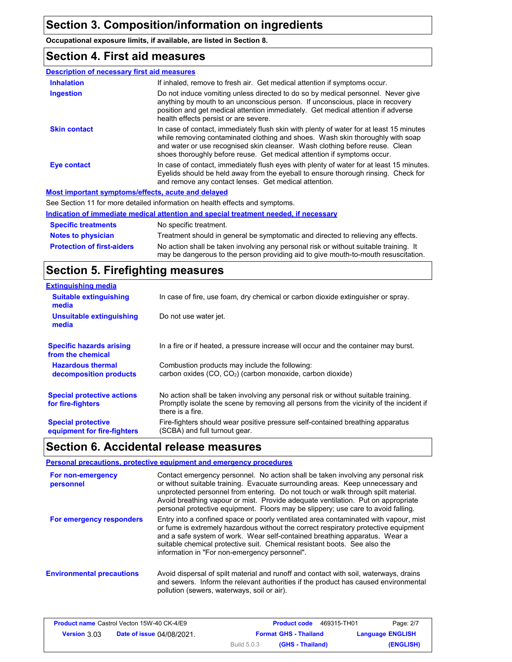**Occupational exposure limits, if available, are listed in Section 8.**

### **Section 4. First aid measures**

| <b>Description of necessary first aid measures</b> |                                                                                                                                                                                                                                                                                                                                      |
|----------------------------------------------------|--------------------------------------------------------------------------------------------------------------------------------------------------------------------------------------------------------------------------------------------------------------------------------------------------------------------------------------|
| <b>Inhalation</b>                                  | If inhaled, remove to fresh air. Get medical attention if symptoms occur.                                                                                                                                                                                                                                                            |
| Ingestion                                          | Do not induce vomiting unless directed to do so by medical personnel. Never give<br>anything by mouth to an unconscious person. If unconscious, place in recovery<br>position and get medical attention immediately. Get medical attention if adverse<br>health effects persist or are severe.                                       |
| <b>Skin contact</b>                                | In case of contact, immediately flush skin with plenty of water for at least 15 minutes<br>while removing contaminated clothing and shoes. Wash skin thoroughly with soap<br>and water or use recognised skin cleanser. Wash clothing before reuse. Clean<br>shoes thoroughly before reuse. Get medical attention if symptoms occur. |
| <b>Eye contact</b>                                 | In case of contact, immediately flush eyes with plenty of water for at least 15 minutes.<br>Evelids should be held away from the eyeball to ensure thorough rinsing. Check for<br>and remove any contact lenses. Get medical attention.                                                                                              |
|                                                    | Most important symptoms/effects, acute and delayed                                                                                                                                                                                                                                                                                   |
|                                                    | See Section 11 for more detailed information on health effects and symptoms.                                                                                                                                                                                                                                                         |
|                                                    |                                                                                                                                                                                                                                                                                                                                      |

**Notes to physician** Treatment should in general be symptomatic and directed to relieving any effects. **Specific treatments** No specific treatment. **Indication of immediate medical attention and special treatment needed, if necessary** No action shall be taken involving any personal risk or without suitable training. It may be dangerous to the person providing aid to give mouth-to-mouth resuscitation. **Protection of first-aiders**

## **Section 5. Firefighting measures**

| <b>Extinguishing media</b>                               |                                                                                                                                                                                                   |
|----------------------------------------------------------|---------------------------------------------------------------------------------------------------------------------------------------------------------------------------------------------------|
| <b>Suitable extinguishing</b><br>media                   | In case of fire, use foam, dry chemical or carbon dioxide extinguisher or spray.                                                                                                                  |
| Unsuitable extinguishing<br>media                        | Do not use water jet.                                                                                                                                                                             |
| <b>Specific hazards arising</b><br>from the chemical     | In a fire or if heated, a pressure increase will occur and the container may burst.                                                                                                               |
| <b>Hazardous thermal</b><br>decomposition products       | Combustion products may include the following:<br>carbon oxides (CO, CO <sub>2</sub> ) (carbon monoxide, carbon dioxide)                                                                          |
| <b>Special protective actions</b><br>for fire-fighters   | No action shall be taken involving any personal risk or without suitable training.<br>Promptly isolate the scene by removing all persons from the vicinity of the incident if<br>there is a fire. |
| <b>Special protective</b><br>equipment for fire-fighters | Fire-fighters should wear positive pressure self-contained breathing apparatus<br>(SCBA) and full turnout gear.                                                                                   |

### **Section 6. Accidental release measures**

**Personal precautions, protective equipment and emergency procedures**

| For non-emergency<br>personnel   | Contact emergency personnel. No action shall be taken involving any personal risk<br>or without suitable training. Evacuate surrounding areas. Keep unnecessary and<br>unprotected personnel from entering. Do not touch or walk through spilt material.<br>Avoid breathing vapour or mist. Provide adequate ventilation. Put on appropriate<br>personal protective equipment. Floors may be slippery; use care to avoid falling. |
|----------------------------------|-----------------------------------------------------------------------------------------------------------------------------------------------------------------------------------------------------------------------------------------------------------------------------------------------------------------------------------------------------------------------------------------------------------------------------------|
| For emergency responders         | Entry into a confined space or poorly ventilated area contaminated with vapour, mist<br>or fume is extremely hazardous without the correct respiratory protective equipment<br>and a safe system of work. Wear self-contained breathing apparatus. Wear a<br>suitable chemical protective suit. Chemical resistant boots. See also the<br>information in "For non-emergency personnel".                                           |
| <b>Environmental precautions</b> | Avoid dispersal of spilt material and runoff and contact with soil, waterways, drains<br>and sewers. Inform the relevant authorities if the product has caused environmental<br>pollution (sewers, waterways, soil or air).                                                                                                                                                                                                       |

| <b>Product name Castrol Vecton 15W-40 CK-4/E9</b> |                                  |                    | 469315-TH01<br><b>Product code</b> | Page: 2/7               |
|---------------------------------------------------|----------------------------------|--------------------|------------------------------------|-------------------------|
| <b>Version 3.03</b>                               | <b>Date of issue 04/08/2021.</b> |                    | <b>Format GHS - Thailand</b>       | <b>Language ENGLISH</b> |
|                                                   |                                  | <b>Build 5.0.3</b> | (GHS - Thailand)                   | (ENGLISH)               |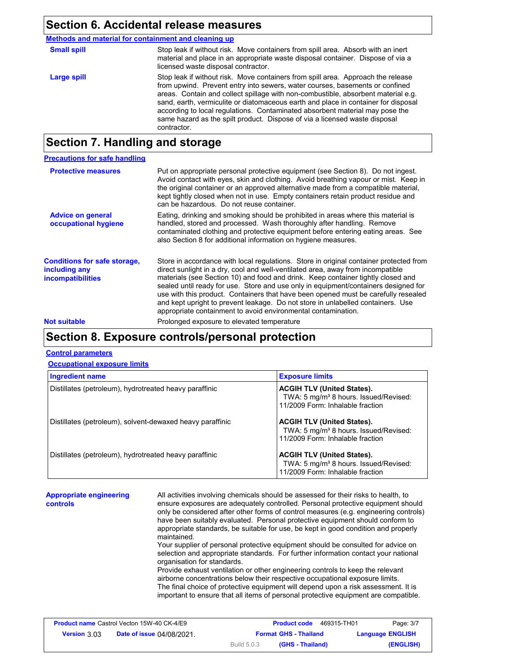### **Section 6. Accidental release measures**

**Methods and material for containment and cleaning up**

| <b>Small spill</b> | Stop leak if without risk. Move containers from spill area. Absorb with an inert<br>material and place in an appropriate waste disposal container. Dispose of via a<br>licensed waste disposal contractor.                                                                                                                                                                                                                                                                                                               |
|--------------------|--------------------------------------------------------------------------------------------------------------------------------------------------------------------------------------------------------------------------------------------------------------------------------------------------------------------------------------------------------------------------------------------------------------------------------------------------------------------------------------------------------------------------|
| Large spill        | Stop leak if without risk. Move containers from spill area. Approach the release<br>from upwind. Prevent entry into sewers, water courses, basements or confined<br>areas. Contain and collect spillage with non-combustible, absorbent material e.g.<br>sand, earth, vermiculite or diatomaceous earth and place in container for disposal<br>according to local regulations. Contaminated absorbent material may pose the<br>same hazard as the spilt product. Dispose of via a licensed waste disposal<br>contractor. |
|                    |                                                                                                                                                                                                                                                                                                                                                                                                                                                                                                                          |

## **Section 7. Handling and storage**

### **Precautions for safe handling**

| <b>Protective measures</b>                                                       | Put on appropriate personal protective equipment (see Section 8). Do not ingest.<br>Avoid contact with eyes, skin and clothing. Avoid breathing vapour or mist. Keep in<br>the original container or an approved alternative made from a compatible material,<br>kept tightly closed when not in use. Empty containers retain product residue and<br>can be hazardous. Do not reuse container.                                                                                                                                                                                                 |
|----------------------------------------------------------------------------------|------------------------------------------------------------------------------------------------------------------------------------------------------------------------------------------------------------------------------------------------------------------------------------------------------------------------------------------------------------------------------------------------------------------------------------------------------------------------------------------------------------------------------------------------------------------------------------------------|
| <b>Advice on general</b><br>occupational hygiene                                 | Eating, drinking and smoking should be prohibited in areas where this material is<br>handled, stored and processed. Wash thoroughly after handling. Remove<br>contaminated clothing and protective equipment before entering eating areas. See<br>also Section 8 for additional information on hygiene measures.                                                                                                                                                                                                                                                                               |
| <b>Conditions for safe storage,</b><br>including any<br><b>incompatibilities</b> | Store in accordance with local regulations. Store in original container protected from<br>direct sunlight in a dry, cool and well-ventilated area, away from incompatible<br>materials (see Section 10) and food and drink. Keep container tightly closed and<br>sealed until ready for use. Store and use only in equipment/containers designed for<br>use with this product. Containers that have been opened must be carefully resealed<br>and kept upright to prevent leakage. Do not store in unlabelled containers. Use<br>appropriate containment to avoid environmental contamination. |
| <b>Not suitable</b>                                                              | Prolonged exposure to elevated temperature                                                                                                                                                                                                                                                                                                                                                                                                                                                                                                                                                     |

### **Section 8. Exposure controls/personal protection**

### **Control parameters**

### **Occupational exposure limits**

| <b>Ingredient name</b>                                    | <b>Exposure limits</b>                                                                                                     |
|-----------------------------------------------------------|----------------------------------------------------------------------------------------------------------------------------|
| Distillates (petroleum), hydrotreated heavy paraffinic    | <b>ACGIH TLV (United States).</b><br>TWA: 5 mg/m <sup>3</sup> 8 hours. Issued/Revised:<br>11/2009 Form: Inhalable fraction |
| Distillates (petroleum), solvent-dewaxed heavy paraffinic | <b>ACGIH TLV (United States).</b><br>TWA: 5 mg/m <sup>3</sup> 8 hours. Issued/Revised:<br>11/2009 Form: Inhalable fraction |
| Distillates (petroleum), hydrotreated heavy paraffinic    | <b>ACGIH TLV (United States).</b><br>TWA: 5 mg/m <sup>3</sup> 8 hours. Issued/Revised:<br>11/2009 Form: Inhalable fraction |

**Appropriate engineering controls**

All activities involving chemicals should be assessed for their risks to health, to ensure exposures are adequately controlled. Personal protective equipment should only be considered after other forms of control measures (e.g. engineering controls) have been suitably evaluated. Personal protective equipment should conform to appropriate standards, be suitable for use, be kept in good condition and properly maintained. Your supplier of personal protective equipment should be consulted for advice on

selection and appropriate standards. For further information contact your national organisation for standards.

Provide exhaust ventilation or other engineering controls to keep the relevant airborne concentrations below their respective occupational exposure limits. The final choice of protective equipment will depend upon a risk assessment. It is important to ensure that all items of personal protective equipment are compatible.

| <b>Product name Castrol Vecton 15W-40 CK-4/E9</b> |                                  |                    | <b>Product code</b><br>469315-TH01 | Page: 3/7               |
|---------------------------------------------------|----------------------------------|--------------------|------------------------------------|-------------------------|
| <b>Version 3.03</b>                               | <b>Date of issue 04/08/2021.</b> |                    | <b>Format GHS - Thailand</b>       | <b>Language ENGLISH</b> |
|                                                   |                                  | <b>Build 5.0.3</b> | (GHS - Thailand)                   | (ENGLISH)               |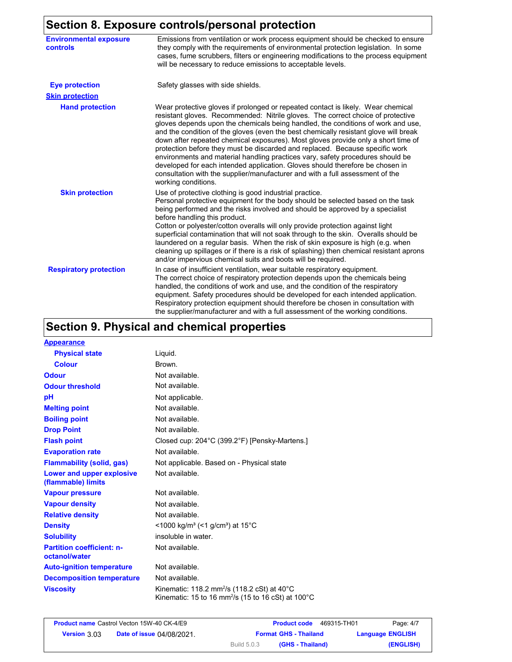# **Section 8. Exposure controls/personal protection**

| .                                         | $50.1$ and $10.0$ por solid processes.                                                                                                                                                                                                                                                                                                                                                                                                                                                                                                                                                                                                                                                                                                                                                          |
|-------------------------------------------|-------------------------------------------------------------------------------------------------------------------------------------------------------------------------------------------------------------------------------------------------------------------------------------------------------------------------------------------------------------------------------------------------------------------------------------------------------------------------------------------------------------------------------------------------------------------------------------------------------------------------------------------------------------------------------------------------------------------------------------------------------------------------------------------------|
| <b>Environmental exposure</b><br>controls | Emissions from ventilation or work process equipment should be checked to ensure<br>they comply with the requirements of environmental protection legislation. In some<br>cases, fume scrubbers, filters or engineering modifications to the process equipment<br>will be necessary to reduce emissions to acceptable levels.                                                                                                                                                                                                                                                                                                                                                                                                                                                                   |
| <b>Eye protection</b>                     | Safety glasses with side shields.                                                                                                                                                                                                                                                                                                                                                                                                                                                                                                                                                                                                                                                                                                                                                               |
| <b>Skin protection</b>                    |                                                                                                                                                                                                                                                                                                                                                                                                                                                                                                                                                                                                                                                                                                                                                                                                 |
| <b>Hand protection</b>                    | Wear protective gloves if prolonged or repeated contact is likely. Wear chemical<br>resistant gloves. Recommended: Nitrile gloves. The correct choice of protective<br>gloves depends upon the chemicals being handled, the conditions of work and use,<br>and the condition of the gloves (even the best chemically resistant glove will break<br>down after repeated chemical exposures). Most gloves provide only a short time of<br>protection before they must be discarded and replaced. Because specific work<br>environments and material handling practices vary, safety procedures should be<br>developed for each intended application. Gloves should therefore be chosen in<br>consultation with the supplier/manufacturer and with a full assessment of the<br>working conditions. |
| <b>Skin protection</b>                    | Use of protective clothing is good industrial practice.<br>Personal protective equipment for the body should be selected based on the task<br>being performed and the risks involved and should be approved by a specialist<br>before handling this product.<br>Cotton or polyester/cotton overalls will only provide protection against light<br>superficial contamination that will not soak through to the skin. Overalls should be<br>laundered on a regular basis. When the risk of skin exposure is high (e.g. when<br>cleaning up spillages or if there is a risk of splashing) then chemical resistant aprons<br>and/or impervious chemical suits and boots will be required.                                                                                                           |
| <b>Respiratory protection</b>             | In case of insufficient ventilation, wear suitable respiratory equipment.<br>The correct choice of respiratory protection depends upon the chemicals being<br>handled, the conditions of work and use, and the condition of the respiratory<br>equipment. Safety procedures should be developed for each intended application.<br>Respiratory protection equipment should therefore be chosen in consultation with<br>the supplier/manufacturer and with a full assessment of the working conditions.                                                                                                                                                                                                                                                                                           |

# **Section 9. Physical and chemical properties**

| <b>Appearance</b>                                 |                                                                                                                                                |
|---------------------------------------------------|------------------------------------------------------------------------------------------------------------------------------------------------|
| <b>Physical state</b>                             | Liquid.                                                                                                                                        |
| <b>Colour</b>                                     | Brown.                                                                                                                                         |
| <b>Odour</b>                                      | Not available.                                                                                                                                 |
| <b>Odour threshold</b>                            | Not available.                                                                                                                                 |
| рH                                                | Not applicable.                                                                                                                                |
| <b>Melting point</b>                              | Not available.                                                                                                                                 |
| <b>Boiling point</b>                              | Not available.                                                                                                                                 |
| <b>Drop Point</b>                                 | Not available.                                                                                                                                 |
| <b>Flash point</b>                                | Closed cup: 204°C (399.2°F) [Pensky-Martens.]                                                                                                  |
| <b>Evaporation rate</b>                           | Not available.                                                                                                                                 |
| <b>Flammability (solid, gas)</b>                  | Not applicable. Based on - Physical state                                                                                                      |
| Lower and upper explosive<br>(flammable) limits   | Not available.                                                                                                                                 |
| <b>Vapour pressure</b>                            | Not available.                                                                                                                                 |
| <b>Vapour density</b>                             | Not available.                                                                                                                                 |
| <b>Relative density</b>                           | Not available.                                                                                                                                 |
| <b>Density</b>                                    | <1000 kg/m <sup>3</sup> (<1 g/cm <sup>3</sup> ) at 15 <sup>°</sup> C                                                                           |
| <b>Solubility</b>                                 | insoluble in water.                                                                                                                            |
| <b>Partition coefficient: n-</b><br>octanol/water | Not available.                                                                                                                                 |
| <b>Auto-ignition temperature</b>                  | Not available.                                                                                                                                 |
| <b>Decomposition temperature</b>                  | Not available.                                                                                                                                 |
| <b>Viscosity</b>                                  | Kinematic: 118.2 mm <sup>2</sup> /s (118.2 cSt) at $40^{\circ}$ C<br>Kinematic: 15 to 16 mm <sup>2</sup> /s (15 to 16 cSt) at 100 $^{\circ}$ C |

| <b>Product name Castrol Vecton 15W-40 CK-4/E9</b> |                                  |             | <b>Product code</b>          | 469315-TH01 | Page: 4/7               |
|---------------------------------------------------|----------------------------------|-------------|------------------------------|-------------|-------------------------|
| <b>Version 3.03</b>                               | <b>Date of issue 04/08/2021.</b> |             | <b>Format GHS - Thailand</b> |             | <b>Language ENGLISH</b> |
|                                                   |                                  | Build 5.0.3 | (GHS - Thailand)             |             | (ENGLISH)               |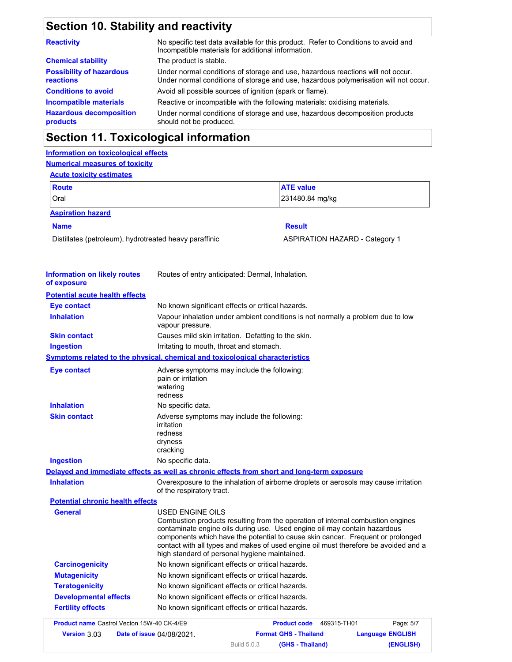# **Section 10. Stability and reactivity**

| No specific test data available for this product. Refer to Conditions to avoid and<br>Incompatible materials for additional information.                                |  |
|-------------------------------------------------------------------------------------------------------------------------------------------------------------------------|--|
| The product is stable.                                                                                                                                                  |  |
| Under normal conditions of storage and use, hazardous reactions will not occur.<br>Under normal conditions of storage and use, hazardous polymerisation will not occur. |  |
| Avoid all possible sources of ignition (spark or flame).                                                                                                                |  |
| Reactive or incompatible with the following materials: oxidising materials.                                                                                             |  |
| Under normal conditions of storage and use, hazardous decomposition products<br>should not be produced.                                                                 |  |
|                                                                                                                                                                         |  |

## **Section 11. Toxicological information**

### **Information on toxicological effects Numerical measures of toxicity Acute toxicity estimates**

| <b>Route</b>                                           |                                                                                             | <b>ATE value</b>                                                                                                                                                                                                                                                                                                                       |  |  |
|--------------------------------------------------------|---------------------------------------------------------------------------------------------|----------------------------------------------------------------------------------------------------------------------------------------------------------------------------------------------------------------------------------------------------------------------------------------------------------------------------------------|--|--|
| Oral                                                   |                                                                                             | 231480.84 mg/kg                                                                                                                                                                                                                                                                                                                        |  |  |
| <b>Aspiration hazard</b>                               |                                                                                             |                                                                                                                                                                                                                                                                                                                                        |  |  |
| <b>Name</b>                                            |                                                                                             | <b>Result</b>                                                                                                                                                                                                                                                                                                                          |  |  |
| Distillates (petroleum), hydrotreated heavy paraffinic |                                                                                             | <b>ASPIRATION HAZARD - Category 1</b>                                                                                                                                                                                                                                                                                                  |  |  |
| <b>Information on likely routes</b>                    | Routes of entry anticipated: Dermal, Inhalation.                                            |                                                                                                                                                                                                                                                                                                                                        |  |  |
| of exposure                                            |                                                                                             |                                                                                                                                                                                                                                                                                                                                        |  |  |
| <b>Potential acute health effects</b>                  |                                                                                             |                                                                                                                                                                                                                                                                                                                                        |  |  |
| <b>Eye contact</b>                                     | No known significant effects or critical hazards.                                           |                                                                                                                                                                                                                                                                                                                                        |  |  |
| <b>Inhalation</b>                                      | vapour pressure.                                                                            | Vapour inhalation under ambient conditions is not normally a problem due to low                                                                                                                                                                                                                                                        |  |  |
| <b>Skin contact</b>                                    | Causes mild skin irritation. Defatting to the skin.                                         |                                                                                                                                                                                                                                                                                                                                        |  |  |
| <b>Ingestion</b>                                       | Irritating to mouth, throat and stomach.                                                    |                                                                                                                                                                                                                                                                                                                                        |  |  |
|                                                        | <b>Symptoms related to the physical, chemical and toxicological characteristics</b>         |                                                                                                                                                                                                                                                                                                                                        |  |  |
| <b>Eye contact</b>                                     | Adverse symptoms may include the following:<br>pain or irritation<br>watering<br>redness    |                                                                                                                                                                                                                                                                                                                                        |  |  |
| <b>Inhalation</b>                                      | No specific data.                                                                           |                                                                                                                                                                                                                                                                                                                                        |  |  |
| <b>Skin contact</b>                                    | Adverse symptoms may include the following:<br>irritation<br>redness<br>dryness<br>cracking |                                                                                                                                                                                                                                                                                                                                        |  |  |
| <b>Ingestion</b>                                       | No specific data.                                                                           |                                                                                                                                                                                                                                                                                                                                        |  |  |
|                                                        |                                                                                             | Delayed and immediate effects as well as chronic effects from short and long-term exposure                                                                                                                                                                                                                                             |  |  |
| <b>Inhalation</b>                                      | of the respiratory tract.                                                                   | Overexposure to the inhalation of airborne droplets or aerosols may cause irritation                                                                                                                                                                                                                                                   |  |  |
| <b>Potential chronic health effects</b>                |                                                                                             |                                                                                                                                                                                                                                                                                                                                        |  |  |
| <b>General</b>                                         | USED ENGINE OILS<br>high standard of personal hygiene maintained.                           | Combustion products resulting from the operation of internal combustion engines<br>contaminate engine oils during use. Used engine oil may contain hazardous<br>components which have the potential to cause skin cancer. Frequent or prolonged<br>contact with all types and makes of used engine oil must therefore be avoided and a |  |  |
| <b>Carcinogenicity</b>                                 | No known significant effects or critical hazards.                                           |                                                                                                                                                                                                                                                                                                                                        |  |  |
| <b>Mutagenicity</b>                                    | No known significant effects or critical hazards.                                           |                                                                                                                                                                                                                                                                                                                                        |  |  |
| <b>Teratogenicity</b>                                  | No known significant effects or critical hazards.                                           |                                                                                                                                                                                                                                                                                                                                        |  |  |
| <b>Developmental effects</b>                           | No known significant effects or critical hazards.                                           |                                                                                                                                                                                                                                                                                                                                        |  |  |
| <b>Fertility effects</b>                               | No known significant effects or critical hazards.                                           |                                                                                                                                                                                                                                                                                                                                        |  |  |
| Product name Castrol Vecton 15W-40 CK-4/E9             |                                                                                             | Page: 5/7<br><b>Product code</b><br>469315-TH01                                                                                                                                                                                                                                                                                        |  |  |
| Version 3.03                                           | Date of issue 04/08/2021.                                                                   | <b>Format GHS - Thailand</b><br><b>Language ENGLISH</b>                                                                                                                                                                                                                                                                                |  |  |

Build 5.0.3

**(GHS - Thailand) (ENGLISH)**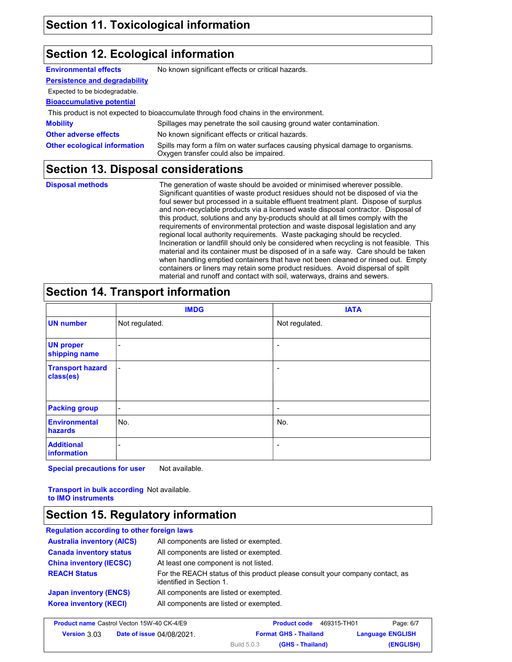### **Section 12. Ecological information**

| <b>Environmental effects</b>         | No known significant effects or critical hazards.                                                                         |
|--------------------------------------|---------------------------------------------------------------------------------------------------------------------------|
| <b>Persistence and degradability</b> |                                                                                                                           |
| Expected to be biodegradable.        |                                                                                                                           |
| <b>Bioaccumulative potential</b>     |                                                                                                                           |
|                                      | This product is not expected to bioaccumulate through food chains in the environment.                                     |
| <b>Mobility</b>                      | Spillages may penetrate the soil causing ground water contamination.                                                      |
| <b>Other adverse effects</b>         | No known significant effects or critical hazards.                                                                         |
| <b>Other ecological information</b>  | Spills may form a film on water surfaces causing physical damage to organisms.<br>Oxygen transfer could also be impaired. |
|                                      |                                                                                                                           |

### **Section 13. Disposal considerations**

**Disposal methods** The generation of waste should be avoided or minimised wherever possible. Significant quantities of waste product residues should not be disposed of via the foul sewer but processed in a suitable effluent treatment plant. Dispose of surplus and non-recyclable products via a licensed waste disposal contractor. Disposal of this product, solutions and any by-products should at all times comply with the requirements of environmental protection and waste disposal legislation and any regional local authority requirements. Waste packaging should be recycled. Incineration or landfill should only be considered when recycling is not feasible. This material and its container must be disposed of in a safe way. Care should be taken when handling emptied containers that have not been cleaned or rinsed out. Empty containers or liners may retain some product residues. Avoid dispersal of spilt material and runoff and contact with soil, waterways, drains and sewers.

## **Section 14. Transport information**

|                                      | <b>IMDG</b>              | <b>IATA</b>    |
|--------------------------------------|--------------------------|----------------|
| <b>UN number</b>                     | Not regulated.           | Not regulated. |
| <b>UN proper</b><br>shipping name    | $\overline{\phantom{a}}$ |                |
| <b>Transport hazard</b><br>class(es) | $\blacksquare$           | ۰              |
| <b>Packing group</b>                 | $\overline{\phantom{a}}$ | -              |
| <b>Environmental</b><br>hazards      | No.                      | No.            |
| <b>Additional</b><br>information     | -                        |                |

**Special precautions for user** Not available.

**Transport in bulk according**  Not available. **to IMO instruments**

### **Section 15. Regulatory information**

| <b>Regulation according to other foreign laws</b> |                                                                                                          |
|---------------------------------------------------|----------------------------------------------------------------------------------------------------------|
| <b>Australia inventory (AICS)</b>                 | All components are listed or exempted.                                                                   |
| <b>Canada inventory status</b>                    | All components are listed or exempted.                                                                   |
| <b>China inventory (IECSC)</b>                    | At least one component is not listed.                                                                    |
| <b>REACH Status</b>                               | For the REACH status of this product please consult your company contact, as<br>identified in Section 1. |
| <b>Japan inventory (ENCS)</b>                     | All components are listed or exempted.                                                                   |
| <b>Korea inventory (KECI)</b>                     | All components are listed or exempted.                                                                   |

| <b>Product name Castrol Vecton 15W-40 CK-4/E9</b> |                                  |                    | <b>Product code</b>          | Page: 6/7<br>469315-TH01 |
|---------------------------------------------------|----------------------------------|--------------------|------------------------------|--------------------------|
| <b>Version 3.03</b>                               | <b>Date of issue 04/08/2021.</b> |                    | <b>Format GHS - Thailand</b> | <b>Language ENGLISH</b>  |
|                                                   |                                  | <b>Build 5.0.3</b> | (GHS - Thailand)             | (ENGLISH)                |